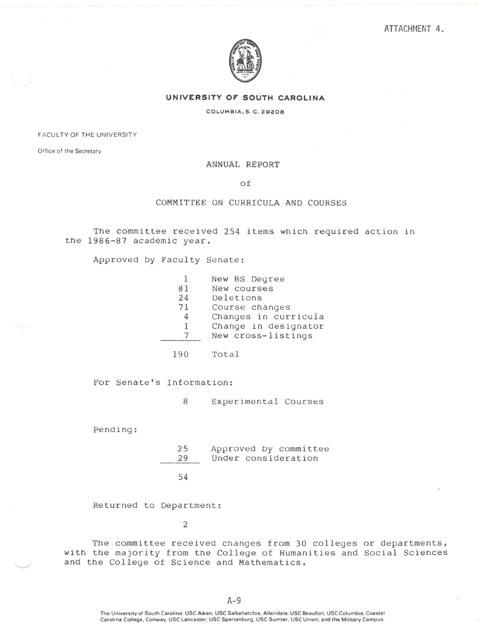

## **UNIVERSITY OF SOUTH CAROLINA**

## COLUMBIA,\$. C. 29206

FACULTY OF THE UNIVERSITY

Office of the Secretary

## ANNUAL REPORT

of

## COMMITTEE ON CURRICULA AND COURSES

The committee received 254 items which required action in the 1986-87 academic year.

Approved by Faculty Senate:

|     | New BS Degree        |
|-----|----------------------|
| 81  | New courses          |
| 24  | Deletions            |
| 71  | Course changes       |
| 4   | Changes in curricula |
| -1  | Change in designator |
|     | New cross-listings   |
|     |                      |
| 190 | Total                |

For Senate's Information:

8 Experimental Courses

Pending:

25 Approved by committee 29 Under consideration

54

Returned to Department:

2

The committee received changes from 30 colleges or departments, with the majority from the College of Humanities and Social Sciences and the College of Science and Mathematics.

The University of South Carolina: USC Aiken; USC Salkehatchie, Allendale; USC Beaufort; USC Columbia; Coastal Carolina College. Conway; USC Lancaster; USC Spartanburg; USC Sumter; USC Union; and the Military Campus.